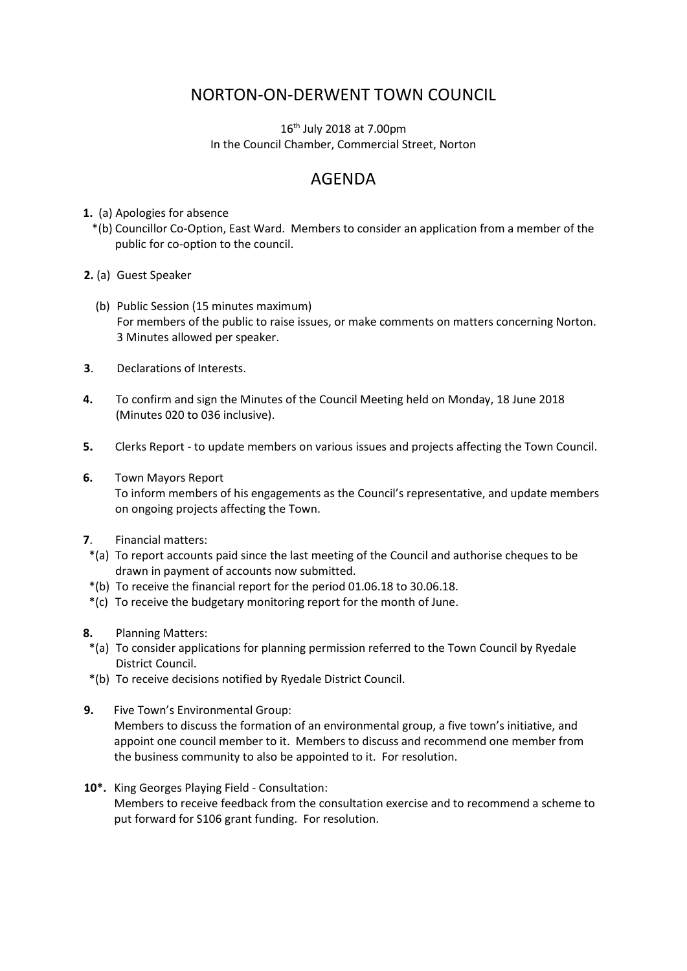## NORTON-ON-DERWENT TOWN COUNCIL

 $16<sup>th</sup>$  July 2018 at 7.00pm In the Council Chamber, Commercial Street, Norton

## AGENDA

- **1.** (a) Apologies for absence
	- \*(b) Councillor Co-Option, East Ward. Members to consider an application from a member of the public for co-option to the council.
- **2.** (a) Guest Speaker
	- (b) Public Session (15 minutes maximum) For members of the public to raise issues, or make comments on matters concerning Norton. 3 Minutes allowed per speaker.
- **3**. Declarations of Interests.
- **4.** To confirm and sign the Minutes of the Council Meeting held on Monday, 18 June 2018 (Minutes 020 to 036 inclusive).
- **5.** Clerks Report to update members on various issues and projects affecting the Town Council.
- **6.** Town Mayors Report

 To inform members of his engagements as the Council's representative, and update members on ongoing projects affecting the Town.

- **7**. Financial matters:
- \*(a) To report accounts paid since the last meeting of the Council and authorise cheques to be drawn in payment of accounts now submitted.
- \*(b) To receive the financial report for the period 01.06.18 to 30.06.18.
- \*(c) To receive the budgetary monitoring report for the month of June.
- **8.** Planning Matters:
- \*(a) To consider applications for planning permission referred to the Town Council by Ryedale District Council.
- \*(b) To receive decisions notified by Ryedale District Council.
- **9.** Five Town's Environmental Group: Members to discuss the formation of an environmental group, a five town's initiative, and appoint one council member to it. Members to discuss and recommend one member from the business community to also be appointed to it. For resolution.
- **10\*.** King Georges Playing Field Consultation:

Members to receive feedback from the consultation exercise and to recommend a scheme to put forward for S106 grant funding. For resolution.